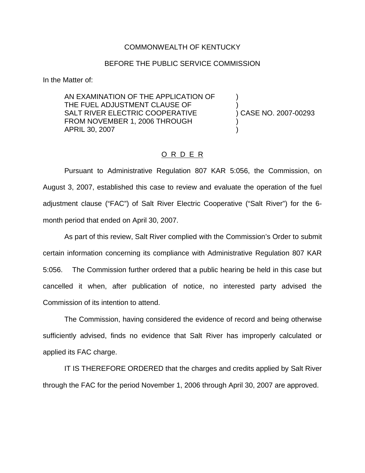## COMMONWEALTH OF KENTUCKY

## BEFORE THE PUBLIC SERVICE COMMISSION

In the Matter of:

AN EXAMINATION OF THE APPLICATION OF ) THE FUEL ADJUSTMENT CLAUSE OF  $\qquad \qquad$ )<br>SALT RIVER ELECTRIC COOPERATIVE  $\qquad \qquad$ ) CASE NO. 2007-00293 SALT RIVER ELECTRIC COOPERATIVE FROM NOVEMBER 1, 2006 THROUGH APRIL 30, 2007 )

## O R D E R

Pursuant to Administrative Regulation 807 KAR 5:056, the Commission, on August 3, 2007, established this case to review and evaluate the operation of the fuel adjustment clause ("FAC") of Salt River Electric Cooperative ("Salt River") for the 6 month period that ended on April 30, 2007.

As part of this review, Salt River complied with the Commission's Order to submit certain information concerning its compliance with Administrative Regulation 807 KAR 5:056. The Commission further ordered that a public hearing be held in this case but cancelled it when, after publication of notice, no interested party advised the Commission of its intention to attend.

The Commission, having considered the evidence of record and being otherwise sufficiently advised, finds no evidence that Salt River has improperly calculated or applied its FAC charge.

IT IS THEREFORE ORDERED that the charges and credits applied by Salt River through the FAC for the period November 1, 2006 through April 30, 2007 are approved.